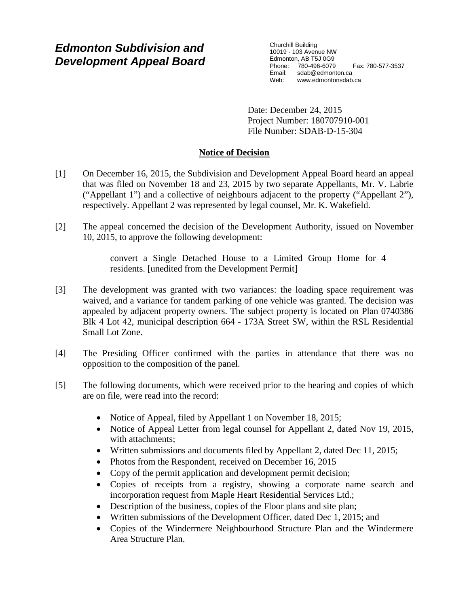# *Edmonton Subdivision and Development Appeal Board*

Churchill Building 10019 - 103 Avenue NW Edmonton, AB T5J 0G9 Phone: 780-496-6079 Fax: 780-577-3537 Email: sdab@edmonton.ca<br>Web: www.edmontonsdab www.edmontonsdab.ca

Date: December 24, 2015 Project Number: 180707910-001 File Number: SDAB-D-15-304

# **Notice of Decision**

- [1] On December 16, 2015, the Subdivision and Development Appeal Board heard an appeal that was filed on November 18 and 23, 2015 by two separate Appellants, Mr. V. Labrie ("Appellant 1") and a collective of neighbours adjacent to the property ("Appellant 2"), respectively. Appellant 2 was represented by legal counsel, Mr. K. Wakefield.
- [2] The appeal concerned the decision of the Development Authority, issued on November 10, 2015, to approve the following development:

convert a Single Detached House to a Limited Group Home for 4 residents. [unedited from the Development Permit]

- [3] The development was granted with two variances: the loading space requirement was waived, and a variance for tandem parking of one vehicle was granted. The decision was appealed by adjacent property owners. The subject property is located on Plan 0740386 Blk 4 Lot 42, municipal description 664 - 173A Street SW, within the RSL Residential Small Lot Zone.
- [4] The Presiding Officer confirmed with the parties in attendance that there was no opposition to the composition of the panel.
- [5] The following documents, which were received prior to the hearing and copies of which are on file, were read into the record:
	- Notice of Appeal, filed by Appellant 1 on November 18, 2015;
	- Notice of Appeal Letter from legal counsel for Appellant 2, dated Nov 19, 2015, with attachments;
	- Written submissions and documents filed by Appellant 2, dated Dec 11, 2015;
	- Photos from the Respondent, received on December 16, 2015
	- Copy of the permit application and development permit decision;
	- Copies of receipts from a registry, showing a corporate name search and incorporation request from Maple Heart Residential Services Ltd.;
	- Description of the business, copies of the Floor plans and site plan;
	- Written submissions of the Development Officer, dated Dec 1, 2015; and
	- Copies of the Windermere Neighbourhood Structure Plan and the Windermere Area Structure Plan.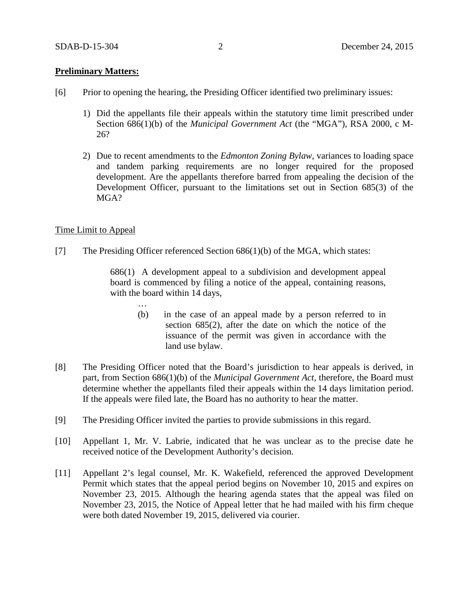# **Preliminary Matters:**

- [6] Prior to opening the hearing, the Presiding Officer identified two preliminary issues:
	- 1) Did the appellants file their appeals within the statutory time limit prescribed under Section 686(1)(b) of the *Municipal Government Act* (the "MGA")*,* RSA 2000, c M-26?
	- 2) Due to recent amendments to the *Edmonton Zoning Bylaw,* variances to loading space and tandem parking requirements are no longer required for the proposed development. Are the appellants therefore barred from appealing the decision of the Development Officer, pursuant to the limitations set out in Section 685(3) of the MGA?

## Time Limit to Appeal

[7] The Presiding Officer referenced Section 686(1)(b) of the MGA, which states:

686(1) A development appeal to a subdivision and development appeal board is commenced by filing a notice of the appeal, containing reasons, with the board within 14 days,

- … (b) in the case of an appeal made by a person referred to in section 685(2), after the date on which the notice of the issuance of the permit was given in accordance with the land use bylaw.
- [8] The Presiding Officer noted that the Board's jurisdiction to hear appeals is derived, in part, from Section 686(1)(b) of the *Municipal Government Act,* therefore, the Board must determine whether the appellants filed their appeals within the 14 days limitation period. If the appeals were filed late, the Board has no authority to hear the matter.
- [9] The Presiding Officer invited the parties to provide submissions in this regard.
- [10] Appellant 1, Mr. V. Labrie, indicated that he was unclear as to the precise date he received notice of the Development Authority's decision.
- [11] Appellant 2's legal counsel, Mr. K. Wakefield, referenced the approved Development Permit which states that the appeal period begins on November 10, 2015 and expires on November 23, 2015. Although the hearing agenda states that the appeal was filed on November 23, 2015, the Notice of Appeal letter that he had mailed with his firm cheque were both dated November 19, 2015, delivered via courier.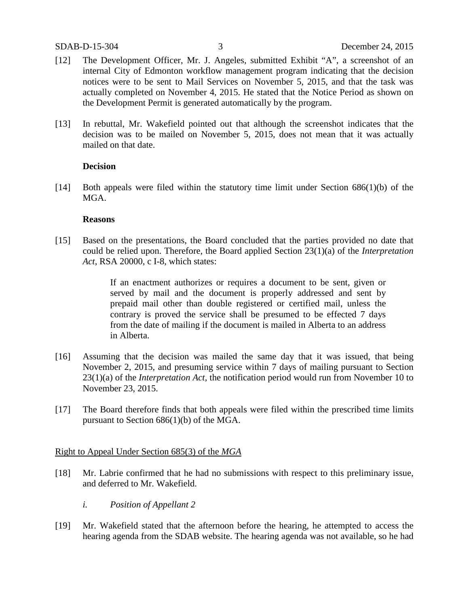- [12] The Development Officer, Mr. J. Angeles, submitted Exhibit "A", a screenshot of an internal City of Edmonton workflow management program indicating that the decision notices were to be sent to Mail Services on November 5, 2015, and that the task was actually completed on November 4, 2015. He stated that the Notice Period as shown on the Development Permit is generated automatically by the program.
- [13] In rebuttal, Mr. Wakefield pointed out that although the screenshot indicates that the decision was to be mailed on November 5, 2015, does not mean that it was actually mailed on that date.

## **Decision**

[14] Both appeals were filed within the statutory time limit under Section 686(1)(b) of the MGA.

## **Reasons**

[15] Based on the presentations, the Board concluded that the parties provided no date that could be relied upon. Therefore, the Board applied Section 23(1)(a) of the *Interpretation Act*, RSA 20000, c I-8, which states:

> If an enactment authorizes or requires a document to be sent, given or served by mail and the document is properly addressed and sent by prepaid mail other than double registered or certified mail, unless the contrary is proved the service shall be presumed to be effected 7 days from the date of mailing if the document is mailed in Alberta to an address in Alberta.

- [16] Assuming that the decision was mailed the same day that it was issued, that being November 2, 2015, and presuming service within 7 days of mailing pursuant to Section 23(1)(a) of the *Interpretation Act*, the notification period would run from November 10 to November 23, 2015.
- [17] The Board therefore finds that both appeals were filed within the prescribed time limits pursuant to Section 686(1)(b) of the MGA.

## Right to Appeal Under Section 685(3) of the *MGA*

- [18] Mr. Labrie confirmed that he had no submissions with respect to this preliminary issue, and deferred to Mr. Wakefield.
	- *i. Position of Appellant 2*
- [19] Mr. Wakefield stated that the afternoon before the hearing, he attempted to access the hearing agenda from the SDAB website. The hearing agenda was not available, so he had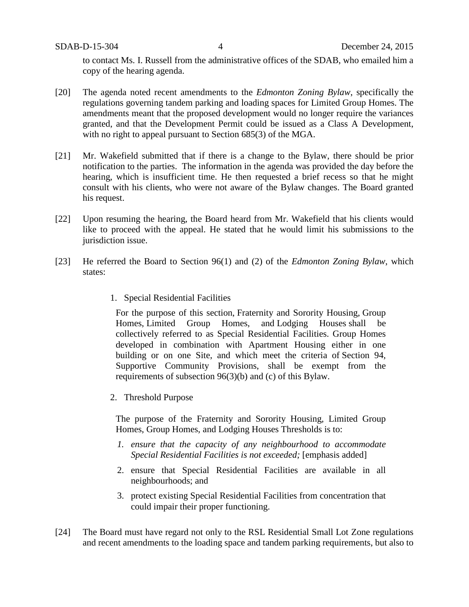to contact Ms. I. Russell from the administrative offices of the SDAB, who emailed him a copy of the hearing agenda.

- [20] The agenda noted recent amendments to the *Edmonton Zoning Bylaw*, specifically the regulations governing tandem parking and loading spaces for Limited Group Homes. The amendments meant that the proposed development would no longer require the variances granted, and that the Development Permit could be issued as a Class A Development, with no right to appeal pursuant to Section 685(3) of the MGA.
- [21] Mr. Wakefield submitted that if there is a change to the Bylaw, there should be prior notification to the parties. The information in the agenda was provided the day before the hearing, which is insufficient time. He then requested a brief recess so that he might consult with his clients, who were not aware of the Bylaw changes. The Board granted his request.
- [22] Upon resuming the hearing, the Board heard from Mr. Wakefield that his clients would like to proceed with the appeal. He stated that he would limit his submissions to the jurisdiction issue.
- [23] He referred the Board to Section 96(1) and (2) of the *Edmonton Zoning Bylaw*, which states:
	- 1. Special Residential Facilities

For the purpose of this section, Fraternity and Sorority Housing, Group Homes, Limited Group Homes, and Lodging Houses shall be collectively referred to as Special Residential Facilities. Group Homes developed in combination with Apartment Housing either in one building or on one Site, and which meet the criteria of Section 94, Supportive Community Provisions, shall be exempt from the requirements of subsection 96(3)(b) and (c) of this Bylaw.

2. Threshold Purpose

The purpose of the Fraternity and Sorority Housing, Limited Group Homes, Group Homes, and Lodging Houses Thresholds is to:

- *1. ensure that the capacity of any neighbourhood to accommodate Special Residential Facilities is not exceeded;* [emphasis added]
- 2. ensure that Special Residential Facilities are available in all neighbourhoods; and
- 3. protect existing Special Residential Facilities from concentration that could impair their proper functioning.
- [24] The Board must have regard not only to the RSL Residential Small Lot Zone regulations and recent amendments to the loading space and tandem parking requirements, but also to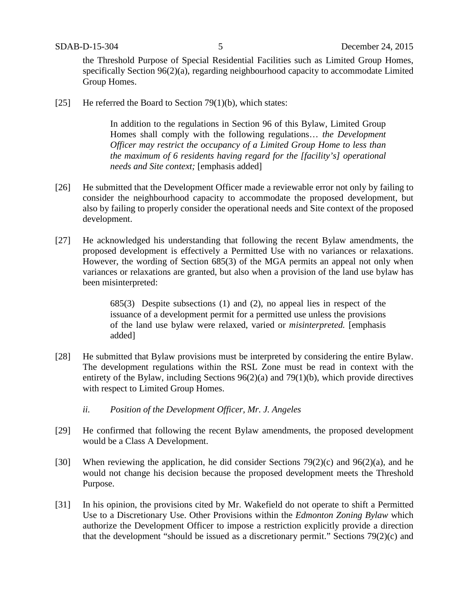the Threshold Purpose of Special Residential Facilities such as Limited Group Homes, specifically Section 96(2)(a), regarding neighbourhood capacity to accommodate Limited Group Homes.

[25] He referred the Board to Section  $79(1)(b)$ , which states:

In addition to the regulations in Section 96 of this Bylaw, Limited Group Homes shall comply with the following regulations… *the Development Officer may restrict the occupancy of a Limited Group Home to less than the maximum of 6 residents having regard for the [facility's] operational needs and Site context;* [emphasis added]

- [26] He submitted that the Development Officer made a reviewable error not only by failing to consider the neighbourhood capacity to accommodate the proposed development, but also by failing to properly consider the operational needs and Site context of the proposed development.
- [27] He acknowledged his understanding that following the recent Bylaw amendments, the proposed development is effectively a Permitted Use with no variances or relaxations. However, the wording of Section 685(3) of the MGA permits an appeal not only when variances or relaxations are granted, but also when a provision of the land use bylaw has been misinterpreted:

685(3) Despite subsections (1) and (2), no appeal lies in respect of the issuance of a development permit for a permitted use unless the provisions of the land use bylaw were relaxed, varied or *misinterpreted.* [emphasis added]

- [28] He submitted that Bylaw provisions must be interpreted by considering the entire Bylaw. The development regulations within the RSL Zone must be read in context with the entirety of the Bylaw, including Sections 96(2)(a) and 79(1)(b), which provide directives with respect to Limited Group Homes.
	- *ii. Position of the Development Officer, Mr. J. Angeles*
- [29] He confirmed that following the recent Bylaw amendments, the proposed development would be a Class A Development.
- [30] When reviewing the application, he did consider Sections  $79(2)(c)$  and  $96(2)(a)$ , and he would not change his decision because the proposed development meets the Threshold Purpose.
- [31] In his opinion, the provisions cited by Mr. Wakefield do not operate to shift a Permitted Use to a Discretionary Use. Other Provisions within the *Edmonton Zoning Bylaw* which authorize the Development Officer to impose a restriction explicitly provide a direction that the development "should be issued as a discretionary permit." Sections 79(2)(c) and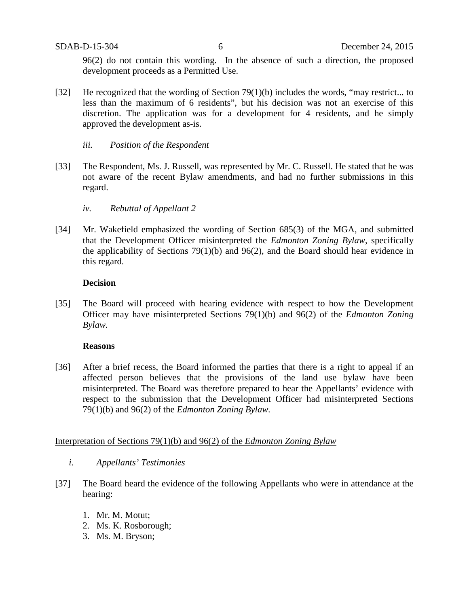96(2) do not contain this wording. In the absence of such a direction, the proposed development proceeds as a Permitted Use.

- [32] He recognized that the wording of Section  $79(1)(b)$  includes the words, "may restrict... to less than the maximum of 6 residents", but his decision was not an exercise of this discretion. The application was for a development for 4 residents, and he simply approved the development as-is.
	- *iii. Position of the Respondent*
- [33] The Respondent, Ms. J. Russell, was represented by Mr. C. Russell. He stated that he was not aware of the recent Bylaw amendments, and had no further submissions in this regard.
	- *iv. Rebuttal of Appellant 2*
- [34] Mr. Wakefield emphasized the wording of Section 685(3) of the MGA, and submitted that the Development Officer misinterpreted the *Edmonton Zoning Bylaw*, specifically the applicability of Sections 79(1)(b) and 96(2), and the Board should hear evidence in this regard.

## **Decision**

[35] The Board will proceed with hearing evidence with respect to how the Development Officer may have misinterpreted Sections 79(1)(b) and 96(2) of the *Edmonton Zoning Bylaw.*

## **Reasons**

[36] After a brief recess, the Board informed the parties that there is a right to appeal if an affected person believes that the provisions of the land use bylaw have been misinterpreted. The Board was therefore prepared to hear the Appellants' evidence with respect to the submission that the Development Officer had misinterpreted Sections 79(1)(b) and 96(2) of the *Edmonton Zoning Bylaw.*

# Interpretation of Sections 79(1)(b) and 96(2) of the *Edmonton Zoning Bylaw*

- *i. Appellants' Testimonies*
- [37] The Board heard the evidence of the following Appellants who were in attendance at the hearing:
	- 1. Mr. M. Motut;
	- 2. Ms. K. Rosborough;
	- 3. Ms. M. Bryson;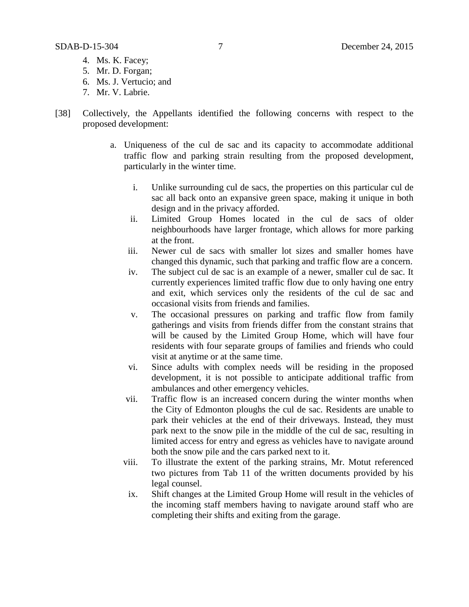- 5. Mr. D. Forgan;
- 6. Ms. J. Vertucio; and
- 7. Mr. V. Labrie.
- [38] Collectively, the Appellants identified the following concerns with respect to the proposed development:
	- a. Uniqueness of the cul de sac and its capacity to accommodate additional traffic flow and parking strain resulting from the proposed development, particularly in the winter time.
		- i. Unlike surrounding cul de sacs, the properties on this particular cul de sac all back onto an expansive green space, making it unique in both design and in the privacy afforded.
		- ii. Limited Group Homes located in the cul de sacs of older neighbourhoods have larger frontage, which allows for more parking at the front.
		- iii. Newer cul de sacs with smaller lot sizes and smaller homes have changed this dynamic, such that parking and traffic flow are a concern.
		- iv. The subject cul de sac is an example of a newer, smaller cul de sac. It currently experiences limited traffic flow due to only having one entry and exit, which services only the residents of the cul de sac and occasional visits from friends and families.
		- v. The occasional pressures on parking and traffic flow from family gatherings and visits from friends differ from the constant strains that will be caused by the Limited Group Home, which will have four residents with four separate groups of families and friends who could visit at anytime or at the same time.
		- vi. Since adults with complex needs will be residing in the proposed development, it is not possible to anticipate additional traffic from ambulances and other emergency vehicles.
		- vii. Traffic flow is an increased concern during the winter months when the City of Edmonton ploughs the cul de sac. Residents are unable to park their vehicles at the end of their driveways. Instead, they must park next to the snow pile in the middle of the cul de sac, resulting in limited access for entry and egress as vehicles have to navigate around both the snow pile and the cars parked next to it.
		- viii. To illustrate the extent of the parking strains, Mr. Motut referenced two pictures from Tab 11 of the written documents provided by his legal counsel.
		- ix. Shift changes at the Limited Group Home will result in the vehicles of the incoming staff members having to navigate around staff who are completing their shifts and exiting from the garage.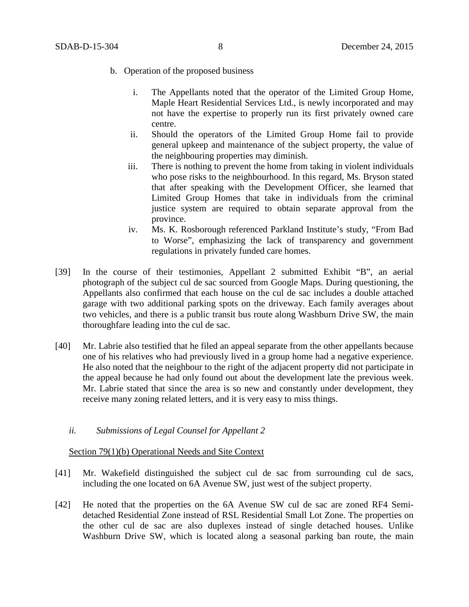- b. Operation of the proposed business
	- i. The Appellants noted that the operator of the Limited Group Home, Maple Heart Residential Services Ltd., is newly incorporated and may not have the expertise to properly run its first privately owned care centre.
	- ii. Should the operators of the Limited Group Home fail to provide general upkeep and maintenance of the subject property, the value of the neighbouring properties may diminish.
	- iii. There is nothing to prevent the home from taking in violent individuals who pose risks to the neighbourhood. In this regard, Ms. Bryson stated that after speaking with the Development Officer, she learned that Limited Group Homes that take in individuals from the criminal justice system are required to obtain separate approval from the province.
	- iv. Ms. K. Rosborough referenced Parkland Institute's study, "From Bad to Worse", emphasizing the lack of transparency and government regulations in privately funded care homes.
- [39] In the course of their testimonies, Appellant 2 submitted Exhibit "B", an aerial photograph of the subject cul de sac sourced from Google Maps. During questioning, the Appellants also confirmed that each house on the cul de sac includes a double attached garage with two additional parking spots on the driveway. Each family averages about two vehicles, and there is a public transit bus route along Washburn Drive SW, the main thoroughfare leading into the cul de sac.
- [40] Mr. Labrie also testified that he filed an appeal separate from the other appellants because one of his relatives who had previously lived in a group home had a negative experience. He also noted that the neighbour to the right of the adjacent property did not participate in the appeal because he had only found out about the development late the previous week. Mr. Labrie stated that since the area is so new and constantly under development, they receive many zoning related letters, and it is very easy to miss things.
	- *ii. Submissions of Legal Counsel for Appellant 2*

# Section 79(1)(b) Operational Needs and Site Context

- [41] Mr. Wakefield distinguished the subject cul de sac from surrounding cul de sacs, including the one located on 6A Avenue SW, just west of the subject property.
- [42] He noted that the properties on the 6A Avenue SW cul de sac are zoned RF4 Semidetached Residential Zone instead of RSL Residential Small Lot Zone. The properties on the other cul de sac are also duplexes instead of single detached houses. Unlike Washburn Drive SW, which is located along a seasonal parking ban route, the main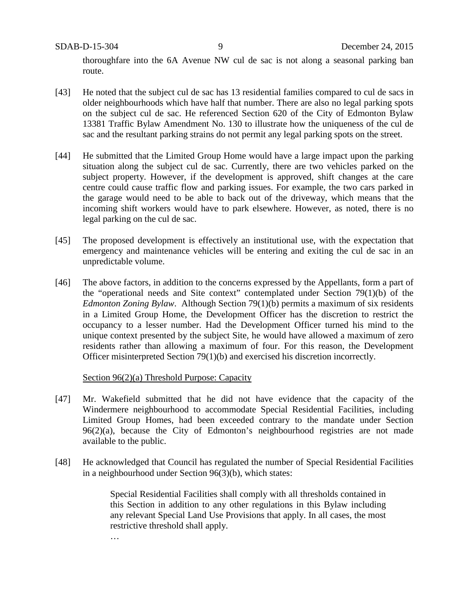thoroughfare into the 6A Avenue NW cul de sac is not along a seasonal parking ban route.

- [43] He noted that the subject cul de sac has 13 residential families compared to cul de sacs in older neighbourhoods which have half that number. There are also no legal parking spots on the subject cul de sac. He referenced Section 620 of the City of Edmonton Bylaw 13381 Traffic Bylaw Amendment No. 130 to illustrate how the uniqueness of the cul de sac and the resultant parking strains do not permit any legal parking spots on the street.
- [44] He submitted that the Limited Group Home would have a large impact upon the parking situation along the subject cul de sac. Currently, there are two vehicles parked on the subject property. However, if the development is approved, shift changes at the care centre could cause traffic flow and parking issues. For example, the two cars parked in the garage would need to be able to back out of the driveway, which means that the incoming shift workers would have to park elsewhere. However, as noted, there is no legal parking on the cul de sac.
- [45] The proposed development is effectively an institutional use, with the expectation that emergency and maintenance vehicles will be entering and exiting the cul de sac in an unpredictable volume.
- [46] The above factors, in addition to the concerns expressed by the Appellants, form a part of the "operational needs and Site context" contemplated under Section 79(1)(b) of the *Edmonton Zoning Bylaw*. Although Section 79(1)(b) permits a maximum of six residents in a Limited Group Home, the Development Officer has the discretion to restrict the occupancy to a lesser number. Had the Development Officer turned his mind to the unique context presented by the subject Site, he would have allowed a maximum of zero residents rather than allowing a maximum of four. For this reason, the Development Officer misinterpreted Section 79(1)(b) and exercised his discretion incorrectly.

Section 96(2)(a) Threshold Purpose: Capacity

- [47] Mr. Wakefield submitted that he did not have evidence that the capacity of the Windermere neighbourhood to accommodate Special Residential Facilities, including Limited Group Homes, had been exceeded contrary to the mandate under Section 96(2)(a), because the City of Edmonton's neighbourhood registries are not made available to the public.
- [48] He acknowledged that Council has regulated the number of Special Residential Facilities in a neighbourhood under Section 96(3)(b), which states:

Special Residential Facilities shall comply with all thresholds contained in this Section in addition to any other regulations in this Bylaw including any relevant Special Land Use Provisions that apply. In all cases, the most restrictive threshold shall apply.

…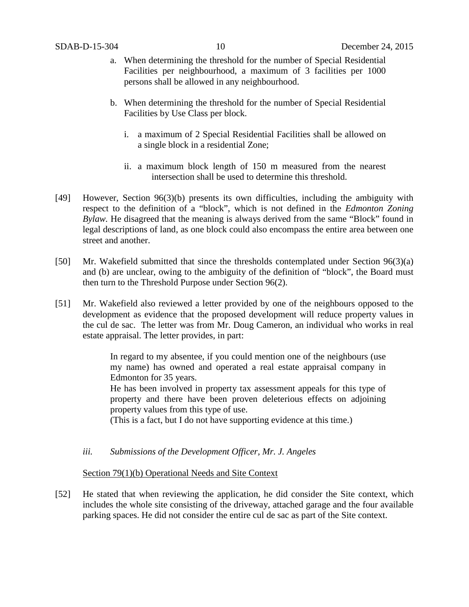- a. When determining the threshold for the number of Special Residential Facilities per neighbourhood, a maximum of 3 facilities per 1000 persons shall be allowed in any neighbourhood.
- b. When determining the threshold for the number of Special Residential Facilities by Use Class per block.
	- i. a maximum of 2 Special Residential Facilities shall be allowed on a single block in a residential Zone;
	- ii. a maximum block length of 150 m measured from the nearest intersection shall be used to determine this threshold.
- [49] However, Section 96(3)(b) presents its own difficulties, including the ambiguity with respect to the definition of a "block", which is not defined in the *Edmonton Zoning Bylaw.* He disagreed that the meaning is always derived from the same "Block" found in legal descriptions of land, as one block could also encompass the entire area between one street and another.
- [50] Mr. Wakefield submitted that since the thresholds contemplated under Section 96(3)(a) and (b) are unclear, owing to the ambiguity of the definition of "block", the Board must then turn to the Threshold Purpose under Section 96(2).
- [51] Mr. Wakefield also reviewed a letter provided by one of the neighbours opposed to the development as evidence that the proposed development will reduce property values in the cul de sac. The letter was from Mr. Doug Cameron, an individual who works in real estate appraisal. The letter provides, in part:

In regard to my absentee, if you could mention one of the neighbours (use my name) has owned and operated a real estate appraisal company in Edmonton for 35 years.

He has been involved in property tax assessment appeals for this type of property and there have been proven deleterious effects on adjoining property values from this type of use.

(This is a fact, but I do not have supporting evidence at this time.)

*iii. Submissions of the Development Officer, Mr. J. Angeles*

# Section 79(1)(b) Operational Needs and Site Context

[52] He stated that when reviewing the application, he did consider the Site context, which includes the whole site consisting of the driveway, attached garage and the four available parking spaces. He did not consider the entire cul de sac as part of the Site context.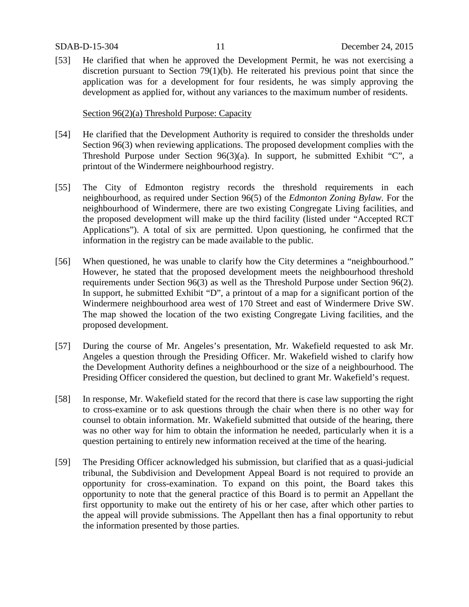[53] He clarified that when he approved the Development Permit, he was not exercising a discretion pursuant to Section 79(1)(b). He reiterated his previous point that since the application was for a development for four residents, he was simply approving the development as applied for, without any variances to the maximum number of residents.

# Section 96(2)(a) Threshold Purpose: Capacity

- [54] He clarified that the Development Authority is required to consider the thresholds under Section 96(3) when reviewing applications. The proposed development complies with the Threshold Purpose under Section 96(3)(a). In support, he submitted Exhibit "C", a printout of the Windermere neighbourhood registry.
- [55] The City of Edmonton registry records the threshold requirements in each neighbourhood, as required under Section 96(5) of the *Edmonton Zoning Bylaw.* For the neighbourhood of Windermere, there are two existing Congregate Living facilities, and the proposed development will make up the third facility (listed under "Accepted RCT Applications"). A total of six are permitted. Upon questioning, he confirmed that the information in the registry can be made available to the public.
- [56] When questioned, he was unable to clarify how the City determines a "neighbourhood." However, he stated that the proposed development meets the neighbourhood threshold requirements under Section 96(3) as well as the Threshold Purpose under Section 96(2). In support, he submitted Exhibit "D", a printout of a map for a significant portion of the Windermere neighbourhood area west of 170 Street and east of Windermere Drive SW. The map showed the location of the two existing Congregate Living facilities, and the proposed development.
- [57] During the course of Mr. Angeles's presentation, Mr. Wakefield requested to ask Mr. Angeles a question through the Presiding Officer. Mr. Wakefield wished to clarify how the Development Authority defines a neighbourhood or the size of a neighbourhood. The Presiding Officer considered the question, but declined to grant Mr. Wakefield's request.
- [58] In response, Mr. Wakefield stated for the record that there is case law supporting the right to cross-examine or to ask questions through the chair when there is no other way for counsel to obtain information. Mr. Wakefield submitted that outside of the hearing, there was no other way for him to obtain the information he needed, particularly when it is a question pertaining to entirely new information received at the time of the hearing.
- [59] The Presiding Officer acknowledged his submission, but clarified that as a quasi-judicial tribunal, the Subdivision and Development Appeal Board is not required to provide an opportunity for cross-examination. To expand on this point, the Board takes this opportunity to note that the general practice of this Board is to permit an Appellant the first opportunity to make out the entirety of his or her case, after which other parties to the appeal will provide submissions. The Appellant then has a final opportunity to rebut the information presented by those parties.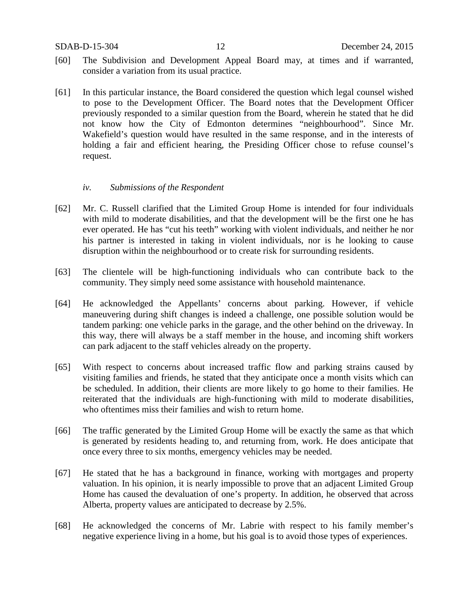- [60] The Subdivision and Development Appeal Board may, at times and if warranted, consider a variation from its usual practice.
- [61] In this particular instance, the Board considered the question which legal counsel wished to pose to the Development Officer. The Board notes that the Development Officer previously responded to a similar question from the Board, wherein he stated that he did not know how the City of Edmonton determines "neighbourhood". Since Mr. Wakefield's question would have resulted in the same response, and in the interests of holding a fair and efficient hearing, the Presiding Officer chose to refuse counsel's request.

## *iv. Submissions of the Respondent*

- [62] Mr. C. Russell clarified that the Limited Group Home is intended for four individuals with mild to moderate disabilities, and that the development will be the first one he has ever operated. He has "cut his teeth" working with violent individuals, and neither he nor his partner is interested in taking in violent individuals, nor is he looking to cause disruption within the neighbourhood or to create risk for surrounding residents.
- [63] The clientele will be high-functioning individuals who can contribute back to the community. They simply need some assistance with household maintenance.
- [64] He acknowledged the Appellants' concerns about parking. However, if vehicle maneuvering during shift changes is indeed a challenge, one possible solution would be tandem parking: one vehicle parks in the garage, and the other behind on the driveway. In this way, there will always be a staff member in the house, and incoming shift workers can park adjacent to the staff vehicles already on the property.
- [65] With respect to concerns about increased traffic flow and parking strains caused by visiting families and friends, he stated that they anticipate once a month visits which can be scheduled. In addition, their clients are more likely to go home to their families. He reiterated that the individuals are high-functioning with mild to moderate disabilities, who oftentimes miss their families and wish to return home.
- [66] The traffic generated by the Limited Group Home will be exactly the same as that which is generated by residents heading to, and returning from, work. He does anticipate that once every three to six months, emergency vehicles may be needed.
- [67] He stated that he has a background in finance, working with mortgages and property valuation. In his opinion, it is nearly impossible to prove that an adjacent Limited Group Home has caused the devaluation of one's property. In addition, he observed that across Alberta, property values are anticipated to decrease by 2.5%.
- [68] He acknowledged the concerns of Mr. Labrie with respect to his family member's negative experience living in a home, but his goal is to avoid those types of experiences.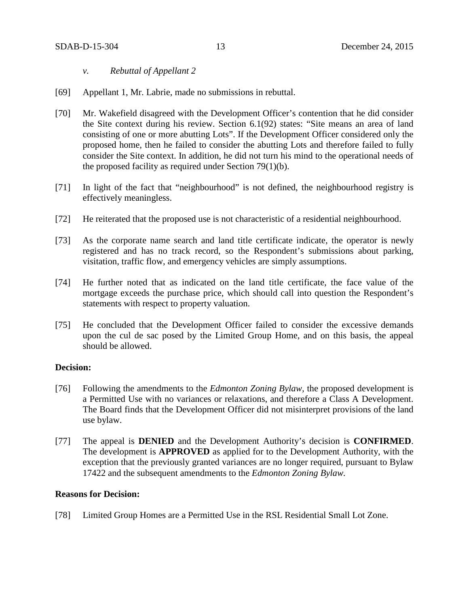- *v. Rebuttal of Appellant 2*
- [69] Appellant 1, Mr. Labrie, made no submissions in rebuttal.
- [70] Mr. Wakefield disagreed with the Development Officer's contention that he did consider the Site context during his review. Section 6.1(92) states: "Site means an area of land consisting of one or more abutting Lots". If the Development Officer considered only the proposed home, then he failed to consider the abutting Lots and therefore failed to fully consider the Site context. In addition, he did not turn his mind to the operational needs of the proposed facility as required under Section 79(1)(b).
- [71] In light of the fact that "neighbourhood" is not defined, the neighbourhood registry is effectively meaningless.
- [72] He reiterated that the proposed use is not characteristic of a residential neighbourhood.
- [73] As the corporate name search and land title certificate indicate, the operator is newly registered and has no track record, so the Respondent's submissions about parking, visitation, traffic flow, and emergency vehicles are simply assumptions.
- [74] He further noted that as indicated on the land title certificate, the face value of the mortgage exceeds the purchase price, which should call into question the Respondent's statements with respect to property valuation.
- [75] He concluded that the Development Officer failed to consider the excessive demands upon the cul de sac posed by the Limited Group Home, and on this basis, the appeal should be allowed.

## **Decision:**

- [76] Following the amendments to the *Edmonton Zoning Bylaw,* the proposed development is a Permitted Use with no variances or relaxations, and therefore a Class A Development. The Board finds that the Development Officer did not misinterpret provisions of the land use bylaw.
- [77] The appeal is **DENIED** and the Development Authority's decision is **CONFIRMED**. The development is **APPROVED** as applied for to the Development Authority, with the exception that the previously granted variances are no longer required, pursuant to Bylaw 17422 and the subsequent amendments to the *Edmonton Zoning Bylaw.*

## **Reasons for Decision:**

[78] Limited Group Homes are a Permitted Use in the RSL Residential Small Lot Zone.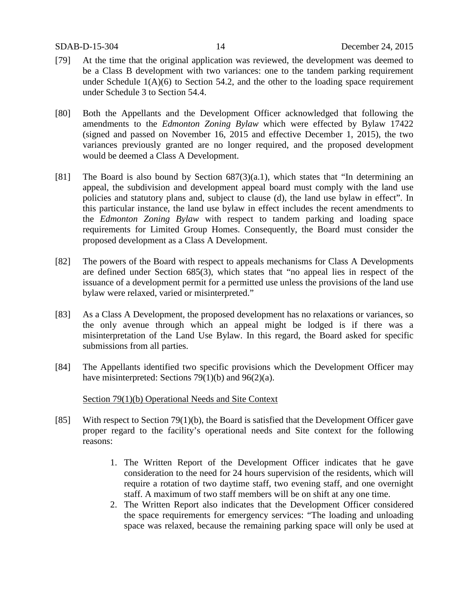- [79] At the time that the original application was reviewed, the development was deemed to be a Class B development with two variances: one to the tandem parking requirement under Schedule  $1(A)(6)$  to Section 54.2, and the other to the loading space requirement under Schedule 3 to Section 54.4.
- [80] Both the Appellants and the Development Officer acknowledged that following the amendments to the *Edmonton Zoning Bylaw* which were effected by Bylaw 17422 (signed and passed on November 16, 2015 and effective December 1, 2015), the two variances previously granted are no longer required, and the proposed development would be deemed a Class A Development.
- [81] The Board is also bound by Section 687(3)(a.1), which states that "In determining an appeal, the subdivision and development appeal board must comply with the land use policies and statutory plans and, subject to clause (d), the land use bylaw in effect". In this particular instance, the land use bylaw in effect includes the recent amendments to the *Edmonton Zoning Bylaw* with respect to tandem parking and loading space requirements for Limited Group Homes. Consequently, the Board must consider the proposed development as a Class A Development.
- [82] The powers of the Board with respect to appeals mechanisms for Class A Developments are defined under Section 685(3), which states that "no appeal lies in respect of the issuance of a development permit for a permitted use unless the provisions of the land use bylaw were relaxed, varied or misinterpreted."
- [83] As a Class A Development, the proposed development has no relaxations or variances, so the only avenue through which an appeal might be lodged is if there was a misinterpretation of the Land Use Bylaw. In this regard, the Board asked for specific submissions from all parties.
- [84] The Appellants identified two specific provisions which the Development Officer may have misinterpreted: Sections 79(1)(b) and 96(2)(a).

## Section 79(1)(b) Operational Needs and Site Context

- [85] With respect to Section 79(1)(b), the Board is satisfied that the Development Officer gave proper regard to the facility's operational needs and Site context for the following reasons:
	- 1. The Written Report of the Development Officer indicates that he gave consideration to the need for 24 hours supervision of the residents, which will require a rotation of two daytime staff, two evening staff, and one overnight staff. A maximum of two staff members will be on shift at any one time.
	- 2. The Written Report also indicates that the Development Officer considered the space requirements for emergency services: "The loading and unloading space was relaxed, because the remaining parking space will only be used at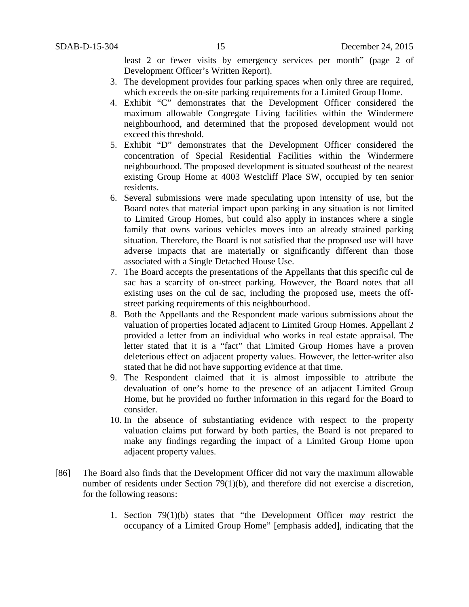least 2 or fewer visits by emergency services per month" (page 2 of Development Officer's Written Report).

- 3. The development provides four parking spaces when only three are required, which exceeds the on-site parking requirements for a Limited Group Home.
- 4. Exhibit "C" demonstrates that the Development Officer considered the maximum allowable Congregate Living facilities within the Windermere neighbourhood, and determined that the proposed development would not exceed this threshold.
- 5. Exhibit "D" demonstrates that the Development Officer considered the concentration of Special Residential Facilities within the Windermere neighbourhood. The proposed development is situated southeast of the nearest existing Group Home at 4003 Westcliff Place SW, occupied by ten senior residents.
- 6. Several submissions were made speculating upon intensity of use, but the Board notes that material impact upon parking in any situation is not limited to Limited Group Homes, but could also apply in instances where a single family that owns various vehicles moves into an already strained parking situation. Therefore, the Board is not satisfied that the proposed use will have adverse impacts that are materially or significantly different than those associated with a Single Detached House Use.
- 7. The Board accepts the presentations of the Appellants that this specific cul de sac has a scarcity of on-street parking. However, the Board notes that all existing uses on the cul de sac, including the proposed use, meets the offstreet parking requirements of this neighbourhood.
- 8. Both the Appellants and the Respondent made various submissions about the valuation of properties located adjacent to Limited Group Homes. Appellant 2 provided a letter from an individual who works in real estate appraisal. The letter stated that it is a "fact" that Limited Group Homes have a proven deleterious effect on adjacent property values. However, the letter-writer also stated that he did not have supporting evidence at that time.
- 9. The Respondent claimed that it is almost impossible to attribute the devaluation of one's home to the presence of an adjacent Limited Group Home, but he provided no further information in this regard for the Board to consider.
- 10. In the absence of substantiating evidence with respect to the property valuation claims put forward by both parties, the Board is not prepared to make any findings regarding the impact of a Limited Group Home upon adjacent property values.
- [86] The Board also finds that the Development Officer did not vary the maximum allowable number of residents under Section 79(1)(b), and therefore did not exercise a discretion, for the following reasons:
	- 1. Section 79(1)(b) states that "the Development Officer *may* restrict the occupancy of a Limited Group Home" [emphasis added], indicating that the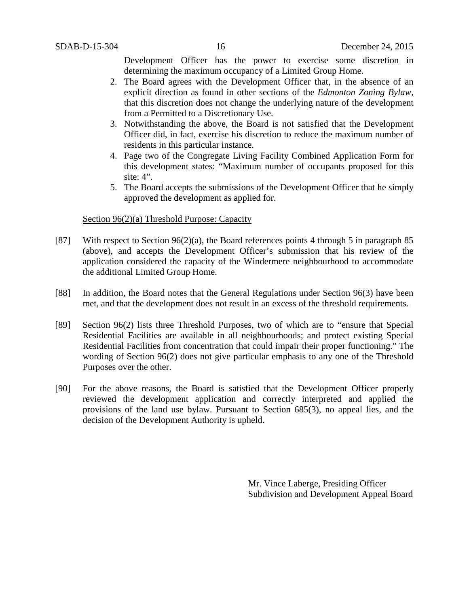Development Officer has the power to exercise some discretion in determining the maximum occupancy of a Limited Group Home.

- 2. The Board agrees with the Development Officer that, in the absence of an explicit direction as found in other sections of the *Edmonton Zoning Bylaw,* that this discretion does not change the underlying nature of the development from a Permitted to a Discretionary Use.
- 3. Notwithstanding the above, the Board is not satisfied that the Development Officer did, in fact, exercise his discretion to reduce the maximum number of residents in this particular instance.
- 4. Page two of the Congregate Living Facility Combined Application Form for this development states: "Maximum number of occupants proposed for this site: 4".
- 5. The Board accepts the submissions of the Development Officer that he simply approved the development as applied for.

## Section 96(2)(a) Threshold Purpose: Capacity

- [87] With respect to Section 96(2)(a), the Board references points 4 through 5 in paragraph 85 (above), and accepts the Development Officer's submission that his review of the application considered the capacity of the Windermere neighbourhood to accommodate the additional Limited Group Home.
- [88] In addition, the Board notes that the General Regulations under Section 96(3) have been met, and that the development does not result in an excess of the threshold requirements.
- [89] Section 96(2) lists three Threshold Purposes, two of which are to "ensure that Special Residential Facilities are available in all neighbourhoods; and protect existing Special Residential Facilities from concentration that could impair their proper functioning." The wording of Section 96(2) does not give particular emphasis to any one of the Threshold Purposes over the other.
- [90] For the above reasons, the Board is satisfied that the Development Officer properly reviewed the development application and correctly interpreted and applied the provisions of the land use bylaw. Pursuant to Section 685(3), no appeal lies, and the decision of the Development Authority is upheld.

Mr. Vince Laberge, Presiding Officer Subdivision and Development Appeal Board